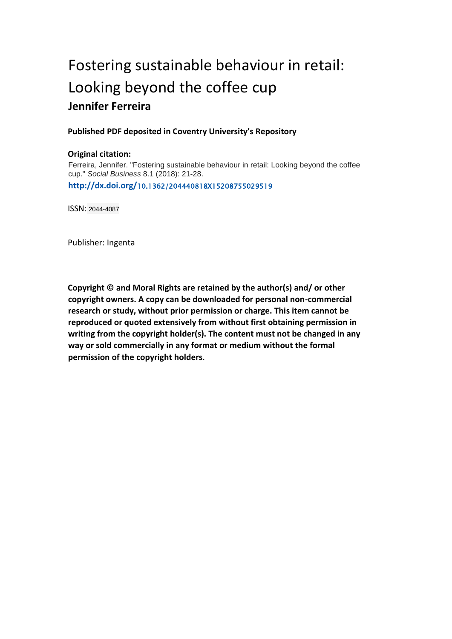# Fostering sustainable behaviour in retail: Looking beyond the coffee cup **Jennifer Ferreira**

## **Published PDF deposited in Coventry University's Repository**

### **Original citation:**

Ferreira, Jennifer. "Fostering sustainable behaviour in retail: Looking beyond the coffee cup." *Social Business* 8.1 (2018): 21-28. **http://dx.doi.org/**10.1362/204440818X15208755029519

ISSN: 2044-4087

Publisher: Ingenta

**Copyright © and Moral Rights are retained by the author(s) and/ or other copyright owners. A copy can be downloaded for personal non-commercial research or study, without prior permission or charge. This item cannot be reproduced or quoted extensively from without first obtaining permission in writing from the copyright holder(s). The content must not be changed in any way or sold commercially in any format or medium without the formal permission of the copyright holders**.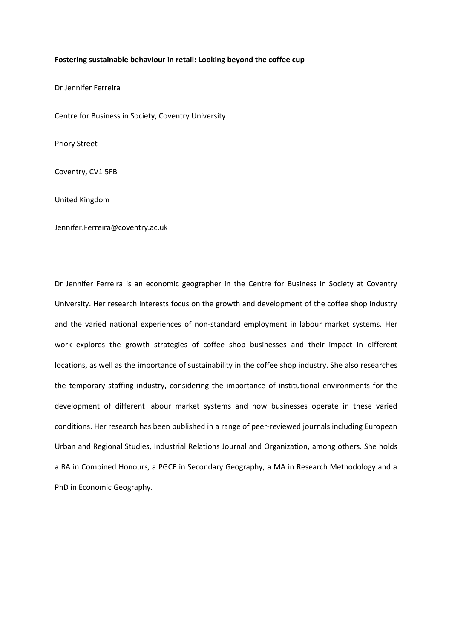#### **Fostering sustainable behaviour in retail: Looking beyond the coffee cup**

Dr Jennifer Ferreira

Centre for Business in Society, Coventry University

Priory Street

Coventry, CV1 5FB

United Kingdom

[Jennifer.Ferreira@coventry.ac.uk](mailto:Jennifer.Ferreira@coventry.ac.uk)

Dr Jennifer Ferreira is an economic geographer in the Centre for Business in Society at Coventry University. Her research interests focus on the growth and development of the coffee shop industry and the varied national experiences of non-standard employment in labour market systems. Her work explores the growth strategies of coffee shop businesses and their impact in different locations, as well as the importance of sustainability in the coffee shop industry. She also researches the temporary staffing industry, considering the importance of institutional environments for the development of different labour market systems and how businesses operate in these varied conditions. Her research has been published in a range of peer-reviewed journals including European Urban and Regional Studies, Industrial Relations Journal and Organization, among others. She holds a BA in Combined Honours, a PGCE in Secondary Geography, a MA in Research Methodology and a PhD in Economic Geography.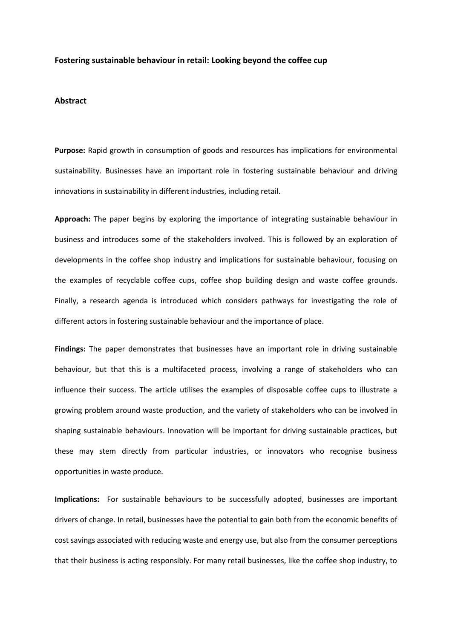#### **Fostering sustainable behaviour in retail: Looking beyond the coffee cup**

#### **Abstract**

**Purpose:** Rapid growth in consumption of goods and resources has implications for environmental sustainability. Businesses have an important role in fostering sustainable behaviour and driving innovations in sustainability in different industries, including retail.

**Approach:** The paper begins by exploring the importance of integrating sustainable behaviour in business and introduces some of the stakeholders involved. This is followed by an exploration of developments in the coffee shop industry and implications for sustainable behaviour, focusing on the examples of recyclable coffee cups, coffee shop building design and waste coffee grounds. Finally, a research agenda is introduced which considers pathways for investigating the role of different actors in fostering sustainable behaviour and the importance of place.

**Findings:** The paper demonstrates that businesses have an important role in driving sustainable behaviour, but that this is a multifaceted process, involving a range of stakeholders who can influence their success. The article utilises the examples of disposable coffee cups to illustrate a growing problem around waste production, and the variety of stakeholders who can be involved in shaping sustainable behaviours. Innovation will be important for driving sustainable practices, but these may stem directly from particular industries, or innovators who recognise business opportunities in waste produce.

**Implications:** For sustainable behaviours to be successfully adopted, businesses are important drivers of change. In retail, businesses have the potential to gain both from the economic benefits of cost savings associated with reducing waste and energy use, but also from the consumer perceptions that their business is acting responsibly. For many retail businesses, like the coffee shop industry, to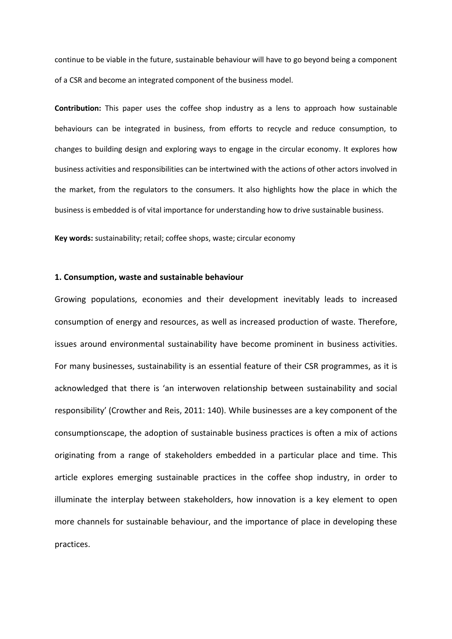continue to be viable in the future, sustainable behaviour will have to go beyond being a component of a CSR and become an integrated component of the business model.

**Contribution:** This paper uses the coffee shop industry as a lens to approach how sustainable behaviours can be integrated in business, from efforts to recycle and reduce consumption, to changes to building design and exploring ways to engage in the circular economy. It explores how business activities and responsibilities can be intertwined with the actions of other actors involved in the market, from the regulators to the consumers. It also highlights how the place in which the business is embedded is of vital importance for understanding how to drive sustainable business.

**Key words:** sustainability; retail; coffee shops, waste; circular economy

#### **1. Consumption, waste and sustainable behaviour**

Growing populations, economies and their development inevitably leads to increased consumption of energy and resources, as well as increased production of waste. Therefore, issues around environmental sustainability have become prominent in business activities. For many businesses, sustainability is an essential feature of their CSR programmes, as it is acknowledged that there is 'an interwoven relationship between sustainability and social responsibility' (Crowther and Reis, 2011: 140). While businesses are a key component of the consumptionscape, the adoption of sustainable business practices is often a mix of actions originating from a range of stakeholders embedded in a particular place and time. This article explores emerging sustainable practices in the coffee shop industry, in order to illuminate the interplay between stakeholders, how innovation is a key element to open more channels for sustainable behaviour, and the importance of place in developing these practices.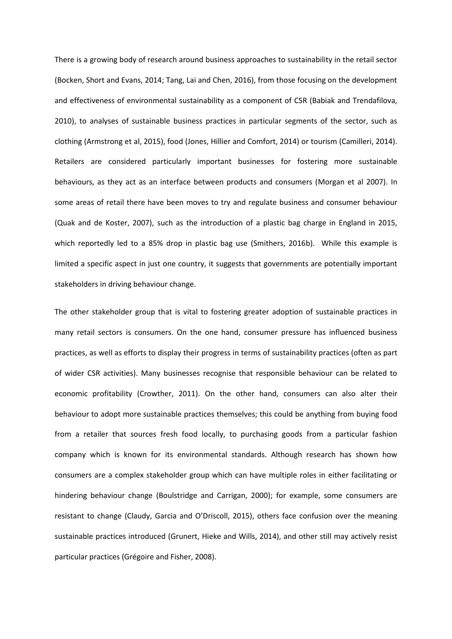There is a growing body of research around business approaches to sustainability in the retail sector (Bocken, Short and Evans, 2014; Tang, Lai and Chen, 2016), from those focusing on the development and effectiveness of environmental sustainability as a component of CSR (Babiak and Trendafilova, 2010), to analyses of sustainable business practices in particular segments of the sector, such as clothing (Armstrong et al, 2015), food (Jones, Hillier and Comfort, 2014) or tourism (Camilleri, 2014). Retailers are considered particularly important businesses for fostering more sustainable behaviours, as they act as an interface between products and consumers (Morgan et al 2007). In some areas of retail there have been moves to try and regulate business and consumer behaviour (Quak and de Koster, 2007), such as the introduction of a plastic bag charge in England in 2015, which reportedly led to a 85% drop in plastic bag use (Smithers, 2016b). While this example is limited a specific aspect in just one country, it suggests that governments are potentially important stakeholders in driving behaviour change.

The other stakeholder group that is vital to fostering greater adoption of sustainable practices in many retail sectors is consumers. On the one hand, consumer pressure has influenced business practices, as well as efforts to display their progress in terms of sustainability practices (often as part of wider CSR activities). Many businesses recognise that responsible behaviour can be related to economic profitability (Crowther, 2011). On the other hand, consumers can also alter their behaviour to adopt more sustainable practices themselves; this could be anything from buying food from a retailer that sources fresh food locally, to purchasing goods from a particular fashion company which is known for its environmental standards. Although research has shown how consumers are a complex stakeholder group which can have multiple roles in either facilitating or hindering behaviour change (Boulstridge and Carrigan, 2000); for example, some consumers are resistant to change (Claudy, Garcia and O'Driscoll, 2015), others face confusion over the meaning sustainable practices introduced (Grunert, Hieke and Wills, 2014), and other still may actively resist particular practices (Grégoire and Fisher, 2008).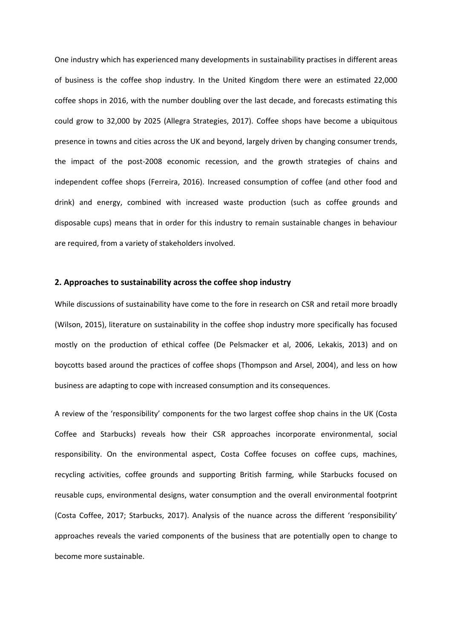One industry which has experienced many developments in sustainability practises in different areas of business is the coffee shop industry. In the United Kingdom there were an estimated 22,000 coffee shops in 2016, with the number doubling over the last decade, and forecasts estimating this could grow to 32,000 by 2025 (Allegra Strategies, 2017). Coffee shops have become a ubiquitous presence in towns and cities across the UK and beyond, largely driven by changing consumer trends, the impact of the post-2008 economic recession, and the growth strategies of chains and independent coffee shops (Ferreira, 2016). Increased consumption of coffee (and other food and drink) and energy, combined with increased waste production (such as coffee grounds and disposable cups) means that in order for this industry to remain sustainable changes in behaviour are required, from a variety of stakeholders involved.

#### **2. Approaches to sustainability across the coffee shop industry**

While discussions of sustainability have come to the fore in research on CSR and retail more broadly (Wilson, 2015), literature on sustainability in the coffee shop industry more specifically has focused mostly on the production of ethical coffee (De Pelsmacker et al, 2006, Lekakis, 2013) and on boycotts based around the practices of coffee shops (Thompson and Arsel, 2004), and less on how business are adapting to cope with increased consumption and its consequences.

A review of the 'responsibility' components for the two largest coffee shop chains in the UK (Costa Coffee and Starbucks) reveals how their CSR approaches incorporate environmental, social responsibility. On the environmental aspect, Costa Coffee focuses on coffee cups, machines, recycling activities, coffee grounds and supporting British farming, while Starbucks focused on reusable cups, environmental designs, water consumption and the overall environmental footprint (Costa Coffee, 2017; Starbucks, 2017). Analysis of the nuance across the different 'responsibility' approaches reveals the varied components of the business that are potentially open to change to become more sustainable.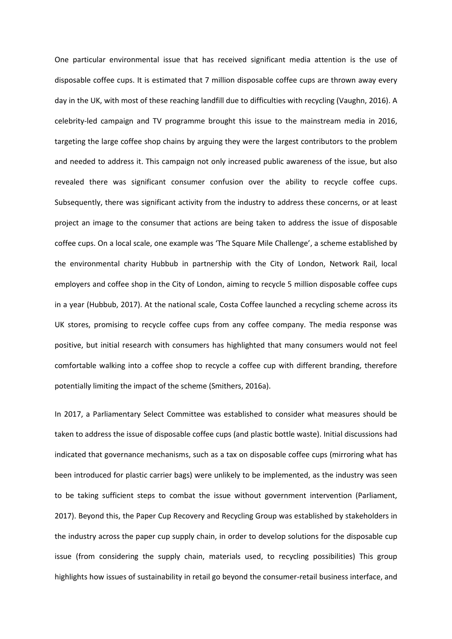One particular environmental issue that has received significant media attention is the use of disposable coffee cups. It is estimated that 7 million disposable coffee cups are thrown away every day in the UK, with most of these reaching landfill due to difficulties with recycling (Vaughn, 2016). A celebrity-led campaign and TV programme brought this issue to the mainstream media in 2016, targeting the large coffee shop chains by arguing they were the largest contributors to the problem and needed to address it. This campaign not only increased public awareness of the issue, but also revealed there was significant consumer confusion over the ability to recycle coffee cups. Subsequently, there was significant activity from the industry to address these concerns, or at least project an image to the consumer that actions are being taken to address the issue of disposable coffee cups. On a local scale, one example was 'The Square Mile Challenge', a scheme established by the environmental charity Hubbub in partnership with the City of London, Network Rail, local employers and coffee shop in the City of London, aiming to recycle 5 million disposable coffee cups in a year (Hubbub, 2017). At the national scale, Costa Coffee launched a recycling scheme across its UK stores, promising to recycle coffee cups from any coffee company. The media response was positive, but initial research with consumers has highlighted that many consumers would not feel comfortable walking into a coffee shop to recycle a coffee cup with different branding, therefore potentially limiting the impact of the scheme (Smithers, 2016a).

In 2017, a Parliamentary Select Committee was established to consider what measures should be taken to address the issue of disposable coffee cups (and plastic bottle waste). Initial discussions had indicated that governance mechanisms, such as a tax on disposable coffee cups (mirroring what has been introduced for plastic carrier bags) were unlikely to be implemented, as the industry was seen to be taking sufficient steps to combat the issue without government intervention (Parliament, 2017). Beyond this, the Paper Cup Recovery and Recycling Group was established by stakeholders in the industry across the paper cup supply chain, in order to develop solutions for the disposable cup issue (from considering the supply chain, materials used, to recycling possibilities) This group highlights how issues of sustainability in retail go beyond the consumer-retail business interface, and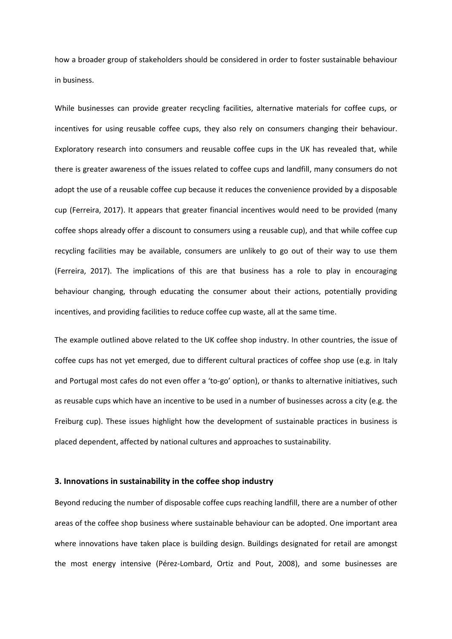how a broader group of stakeholders should be considered in order to foster sustainable behaviour in business.

While businesses can provide greater recycling facilities, alternative materials for coffee cups, or incentives for using reusable coffee cups, they also rely on consumers changing their behaviour. Exploratory research into consumers and reusable coffee cups in the UK has revealed that, while there is greater awareness of the issues related to coffee cups and landfill, many consumers do not adopt the use of a reusable coffee cup because it reduces the convenience provided by a disposable cup (Ferreira, 2017). It appears that greater financial incentives would need to be provided (many coffee shops already offer a discount to consumers using a reusable cup), and that while coffee cup recycling facilities may be available, consumers are unlikely to go out of their way to use them (Ferreira, 2017). The implications of this are that business has a role to play in encouraging behaviour changing, through educating the consumer about their actions, potentially providing incentives, and providing facilities to reduce coffee cup waste, all at the same time.

The example outlined above related to the UK coffee shop industry. In other countries, the issue of coffee cups has not yet emerged, due to different cultural practices of coffee shop use (e.g. in Italy and Portugal most cafes do not even offer a 'to-go' option), or thanks to alternative initiatives, such as reusable cups which have an incentive to be used in a number of businesses across a city (e.g. the Freiburg cup). These issues highlight how the development of sustainable practices in business is placed dependent, affected by national cultures and approaches to sustainability.

#### **3. Innovations in sustainability in the coffee shop industry**

Beyond reducing the number of disposable coffee cups reaching landfill, there are a number of other areas of the coffee shop business where sustainable behaviour can be adopted. One important area where innovations have taken place is building design. Buildings designated for retail are amongst the most energy intensive (Pérez-Lombard, Ortiz and Pout, 2008), and some businesses are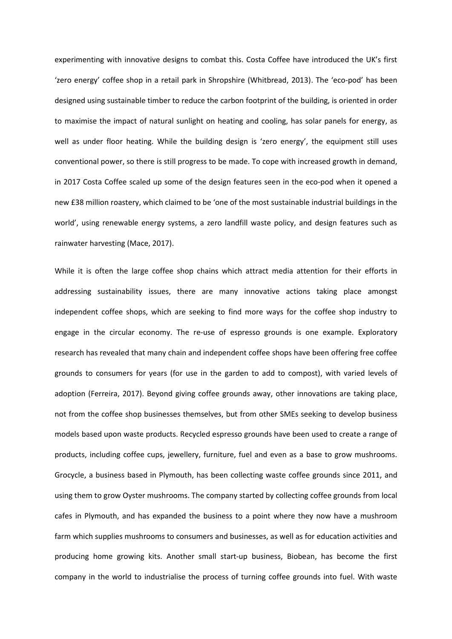experimenting with innovative designs to combat this. Costa Coffee have introduced the UK's first 'zero energy' coffee shop in a retail park in Shropshire (Whitbread, 2013). The 'eco-pod' has been designed using sustainable timber to reduce the carbon footprint of the building, is oriented in order to maximise the impact of natural sunlight on heating and cooling, has solar panels for energy, as well as under floor heating. While the building design is 'zero energy', the equipment still uses conventional power, so there is still progress to be made. To cope with increased growth in demand, in 2017 Costa Coffee scaled up some of the design features seen in the eco-pod when it opened a new £38 million roastery, which claimed to be 'one of the most sustainable industrial buildings in the world', using renewable energy systems, a zero landfill waste policy, and design features such as rainwater harvesting (Mace, 2017).

While it is often the large coffee shop chains which attract media attention for their efforts in addressing sustainability issues, there are many innovative actions taking place amongst independent coffee shops, which are seeking to find more ways for the coffee shop industry to engage in the circular economy. The re-use of espresso grounds is one example. Exploratory research has revealed that many chain and independent coffee shops have been offering free coffee grounds to consumers for years (for use in the garden to add to compost), with varied levels of adoption (Ferreira, 2017). Beyond giving coffee grounds away, other innovations are taking place, not from the coffee shop businesses themselves, but from other SMEs seeking to develop business models based upon waste products. Recycled espresso grounds have been used to create a range of products, including coffee cups, jewellery, furniture, fuel and even as a base to grow mushrooms. Grocycle, a business based in Plymouth, has been collecting waste coffee grounds since 2011, and using them to grow Oyster mushrooms. The company started by collecting coffee grounds from local cafes in Plymouth, and has expanded the business to a point where they now have a mushroom farm which supplies mushrooms to consumers and businesses, as well as for education activities and producing home growing kits. Another small start-up business, Biobean, has become the first company in the world to industrialise the process of turning coffee grounds into fuel. With waste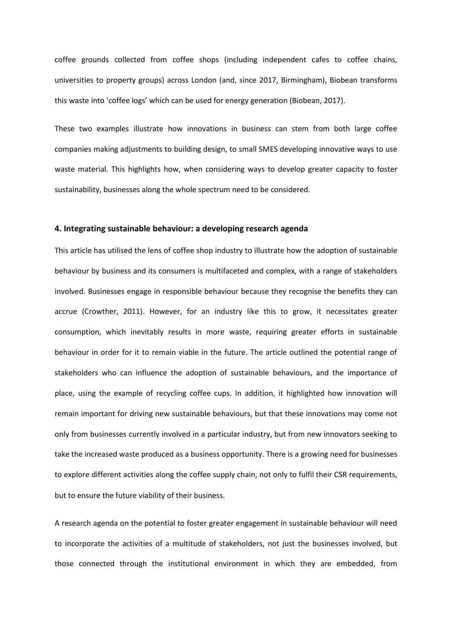coffee grounds collected from coffee shops (including independent cafes to coffee chains, universities to property groups) across London (and, since 2017, Birmingham), Biobean transforms this waste into 'coffee logs' which can be used for energy generation (Biobean, 2017).

These two examples illustrate how innovations in business can stem from both large coffee companies making adjustments to building design, to small SMES developing innovative ways to use waste material. This highlights how, when considering ways to develop greater capacity to foster sustainability, businesses along the whole spectrum need to be considered.

#### **4. Integrating sustainable behaviour: a developing research agenda**

This article has utilised the lens of coffee shop industry to illustrate how the adoption of sustainable behaviour by business and its consumers is multifaceted and complex, with a range of stakeholders involved. Businesses engage in responsible behaviour because they recognise the benefits they can accrue (Crowther, 2011). However, for an industry like this to grow, it necessitates greater consumption, which inevitably results in more waste, requiring greater efforts in sustainable behaviour in order for it to remain viable in the future. The article outlined the potential range of stakeholders who can influence the adoption of sustainable behaviours, and the importance of place, using the example of recycling coffee cups. In addition, it highlighted how innovation will remain important for driving new sustainable behaviours, but that these innovations may come not only from businesses currently involved in a particular industry, but from new innovators seeking to take the increased waste produced as a business opportunity. There is a growing need for businesses to explore different activities along the coffee supply chain, not only to fulfil their CSR requirements, but to ensure the future viability of their business.

A research agenda on the potential to foster greater engagement in sustainable behaviour will need to incorporate the activities of a multitude of stakeholders, not just the businesses involved, but those connected through the institutional environment in which they are embedded, from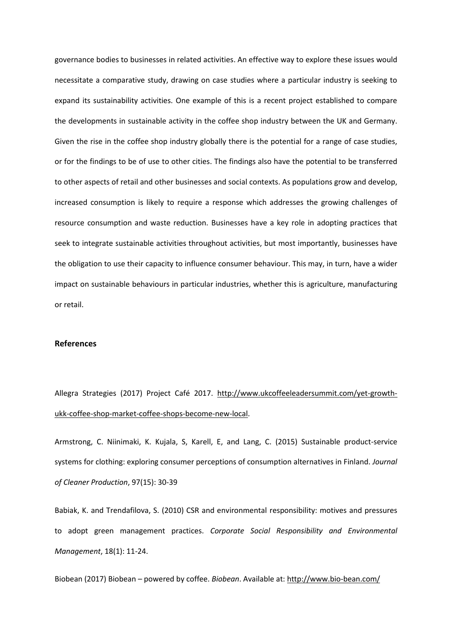governance bodies to businesses in related activities. An effective way to explore these issues would necessitate a comparative study, drawing on case studies where a particular industry is seeking to expand its sustainability activities. One example of this is a recent project established to compare the developments in sustainable activity in the coffee shop industry between the UK and Germany. Given the rise in the coffee shop industry globally there is the potential for a range of case studies, or for the findings to be of use to other cities. The findings also have the potential to be transferred to other aspects of retail and other businesses and social contexts. As populations grow and develop, increased consumption is likely to require a response which addresses the growing challenges of resource consumption and waste reduction. Businesses have a key role in adopting practices that seek to integrate sustainable activities throughout activities, but most importantly, businesses have the obligation to use their capacity to influence consumer behaviour. This may, in turn, have a wider impact on sustainable behaviours in particular industries, whether this is agriculture, manufacturing or retail.

#### **References**

Allegra Strategies (2017) Project Café 2017. [http://www.ukcoffeeleadersummit.com/yet-growth](http://www.ukcoffeeleadersummit.com/yet-growth-ukk-coffee-shop-market-coffee-shops-become-new-local)[ukk-coffee-shop-market-coffee-shops-become-new-local.](http://www.ukcoffeeleadersummit.com/yet-growth-ukk-coffee-shop-market-coffee-shops-become-new-local)

Armstrong, C. Niinimaki, K. Kujala, S, Karell, E, and Lang, C. (2015) Sustainable product-service systems for clothing: exploring consumer perceptions of consumption alternatives in Finland. *Journal of Cleaner Production*, 97(15): 30-39

Babiak, K. and Trendafilova, S. (2010) CSR and environmental responsibility: motives and pressures to adopt green management practices. *Corporate Social Responsibility and Environmental Management*, 18(1): 11-24.

Biobean (2017) Biobean – powered by coffee. *Biobean*. Available at:<http://www.bio-bean.com/>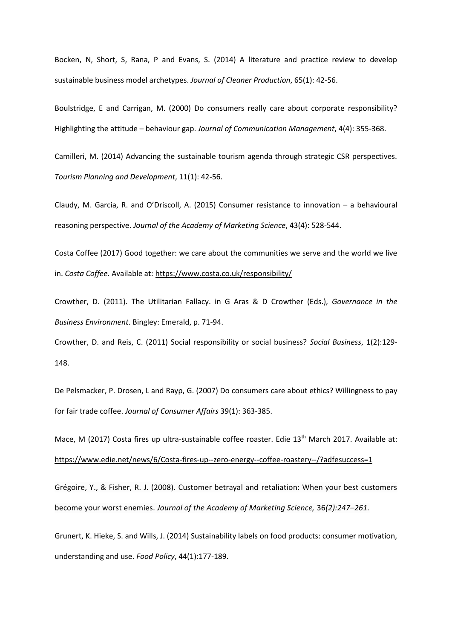Bocken, N, Short, S, Rana, P and Evans, S. (2014) A literature and practice review to develop sustainable business model archetypes. *Journal of Cleaner Production*, 65(1): 42-56.

Boulstridge, E and Carrigan, M. (2000) Do consumers really care about corporate responsibility? Highlighting the attitude – behaviour gap. *Journal of Communication Management*, 4(4): 355-368.

Camilleri, M. (2014) Advancing the sustainable tourism agenda through strategic CSR perspectives. *Tourism Planning and Development*, 11(1): 42-56.

Claudy, M. Garcia, R. and O'Driscoll, A. (2015) Consumer resistance to innovation – a behavioural reasoning perspective. *Journal of the Academy of Marketing Science*, 43(4): 528-544.

Costa Coffee (2017) Good together: we care about the communities we serve and the world we live in. *Costa Coffee*. Available at[: https://www.costa.co.uk/responsibility/](https://www.costa.co.uk/responsibility/)

Crowther, D. (2011). The Utilitarian Fallacy. in G Aras & D Crowther (Eds.), *Governance in the Business Environment*. Bingley: Emerald, p. 71-94.

Crowther, D. and Reis, C. (2011) Social responsibility or social business? *Social Business*, 1(2):129- 148.

De Pelsmacker, P. Drosen, L and Rayp, G. (2007) Do consumers care about ethics? Willingness to pay for fair trade coffee. *Journal of Consumer Affairs* 39(1): 363-385.

Mace, M (2017) Costa fires up ultra-sustainable coffee roaster. Edie 13<sup>th</sup> March 2017. Available at: <https://www.edie.net/news/6/Costa-fires-up--zero-energy--coffee-roastery--/?adfesuccess=1>

Grégoire, Y., & Fisher, R. J. (2008). Customer betrayal and retaliation: When your best customers become your worst enemies. *Journal of the Academy of Marketing Science,* 36*(2):247–261.*

Grunert, K. Hieke, S. and Wills, J. (2014) Sustainability labels on food products: consumer motivation, understanding and use. *Food Policy*, 44(1):177-189.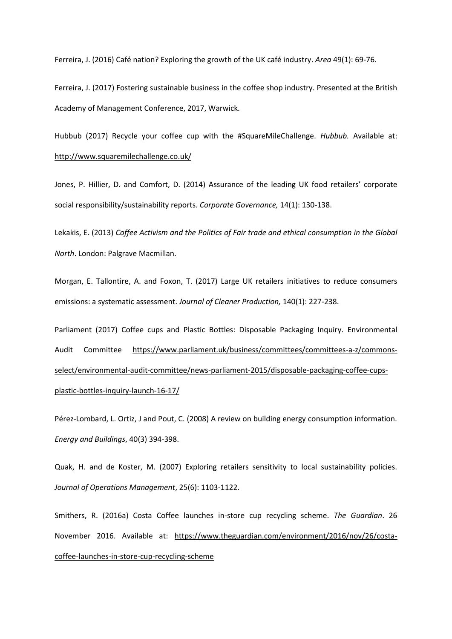Ferreira, J. (2016) Café nation? Exploring the growth of the UK café industry. *Area* 49(1): 69-76.

Ferreira, J. (2017) Fostering sustainable business in the coffee shop industry. Presented at the British Academy of Management Conference, 2017, Warwick.

Hubbub (2017) Recycle your coffee cup with the #SquareMileChallenge. *Hubbub.* Available at: <http://www.squaremilechallenge.co.uk/>

Jones, P. Hillier, D. and Comfort, D. (2014) Assurance of the leading UK food retailers' corporate social responsibility/sustainability reports. *Corporate Governance,* 14(1): 130-138.

Lekakis, E. (2013) *Coffee Activism and the Politics of Fair trade and ethical consumption in the Global North*. London: Palgrave Macmillan.

Morgan, E. Tallontire, A. and Foxon, T. (2017) Large UK retailers initiatives to reduce consumers emissions: a systematic assessment. *Journal of Cleaner Production,* 140(1): 227-238.

Parliament (2017) Coffee cups and Plastic Bottles: Disposable Packaging Inquiry. Environmental Audit Committee [https://www.parliament.uk/business/committees/committees-a-z/commons](https://www.parliament.uk/business/committees/committees-a-z/commons-select/environmental-audit-committee/news-parliament-2015/disposable-packaging-coffee-cups-plastic-bottles-inquiry-launch-16-17/)[select/environmental-audit-committee/news-parliament-2015/disposable-packaging-coffee-cups](https://www.parliament.uk/business/committees/committees-a-z/commons-select/environmental-audit-committee/news-parliament-2015/disposable-packaging-coffee-cups-plastic-bottles-inquiry-launch-16-17/)[plastic-bottles-inquiry-launch-16-17/](https://www.parliament.uk/business/committees/committees-a-z/commons-select/environmental-audit-committee/news-parliament-2015/disposable-packaging-coffee-cups-plastic-bottles-inquiry-launch-16-17/)

Pérez-Lombard, L. Ortiz, J and Pout, C. (2008) A review on building energy consumption information. *Energy and Buildings*, 40(3) 394-398.

Quak, H. and de Koster, M. (2007) Exploring retailers sensitivity to local sustainability policies. *Journal of Operations Management*, 25(6): 1103-1122.

Smithers, R. (2016a) Costa Coffee launches in-store cup recycling scheme. *The Guardian*. 26 November 2016. Available at: [https://www.theguardian.com/environment/2016/nov/26/costa](https://www.theguardian.com/environment/2016/nov/26/costa-coffee-launches-in-store-cup-recycling-scheme)[coffee-launches-in-store-cup-recycling-scheme](https://www.theguardian.com/environment/2016/nov/26/costa-coffee-launches-in-store-cup-recycling-scheme)